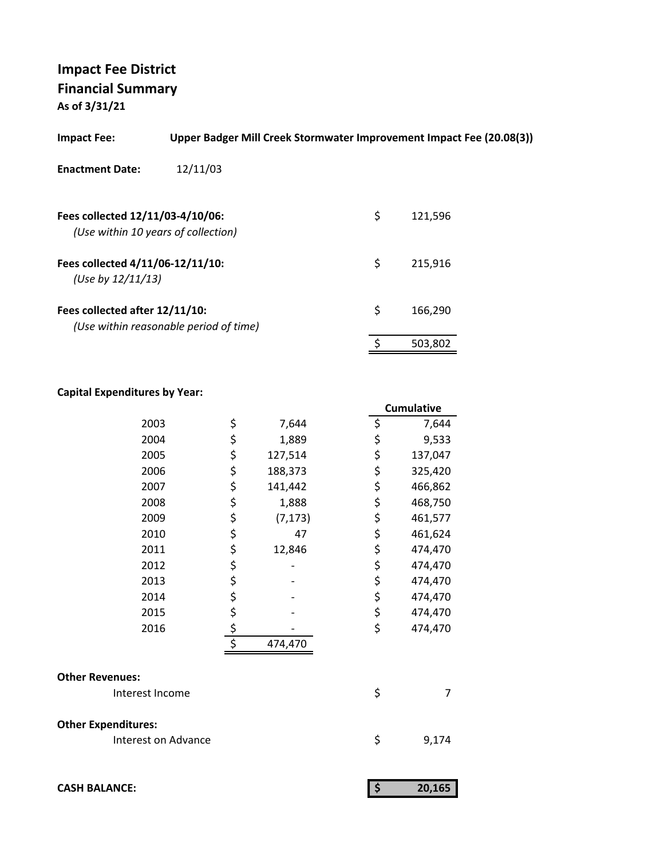**As of 3/31/21**

| 12/11/03<br><b>Enactment Date:</b><br>\$<br>Fees collected 12/11/03-4/10/06:<br>121.596<br>(Use within 10 years of collection)<br>\$<br>Fees collected 4/11/06-12/11/10:<br>215,916<br>(Use by $12/11/13$ )<br>\$<br>Fees collected after 12/11/10:<br>166,290<br>(Use within reasonable period of time)<br>¢<br>503,802 | <b>Impact Fee:</b> | Upper Badger Mill Creek Stormwater Improvement Impact Fee (20.08(3)) |  |
|--------------------------------------------------------------------------------------------------------------------------------------------------------------------------------------------------------------------------------------------------------------------------------------------------------------------------|--------------------|----------------------------------------------------------------------|--|
|                                                                                                                                                                                                                                                                                                                          |                    |                                                                      |  |
|                                                                                                                                                                                                                                                                                                                          |                    |                                                                      |  |
|                                                                                                                                                                                                                                                                                                                          |                    |                                                                      |  |
|                                                                                                                                                                                                                                                                                                                          |                    |                                                                      |  |
|                                                                                                                                                                                                                                                                                                                          |                    |                                                                      |  |

|                            |                  |          |                     | Cumulative |
|----------------------------|------------------|----------|---------------------|------------|
| 2003                       | \$               | 7,644    | \$                  | 7,644      |
| 2004                       | \$               | 1,889    | \$                  | 9,533      |
| 2005                       | \$               | 127,514  | \$                  | 137,047    |
| 2006                       | \$               | 188,373  | \$                  | 325,420    |
| 2007                       | \$               | 141,442  | \$                  | 466,862    |
| 2008                       | \$               | 1,888    | \$                  | 468,750    |
| 2009                       | \$               | (7, 173) | \$                  | 461,577    |
| 2010                       | \$               | 47       | \$                  | 461,624    |
| 2011                       | \$               | 12,846   | \$                  | 474,470    |
| 2012                       | \$               |          | \$                  | 474,470    |
| 2013                       | \$               |          | \$                  | 474,470    |
| 2014                       | \$               |          | \$                  | 474,470    |
| 2015                       |                  |          | \$                  | 474,470    |
| 2016                       | \$<br>\$         |          | \$                  | 474,470    |
|                            | $\overline{\xi}$ | 474,470  |                     |            |
| <b>Other Revenues:</b>     |                  |          |                     |            |
| Interest Income            |                  |          | \$                  | 7          |
| <b>Other Expenditures:</b> |                  |          |                     |            |
| Interest on Advance        |                  |          | \$                  | 9,174      |
|                            |                  |          |                     |            |
| <b>CASH BALANCE:</b>       |                  |          | $\ddot{\bm{\zeta}}$ | 20,165     |

| 20,165 |
|--------|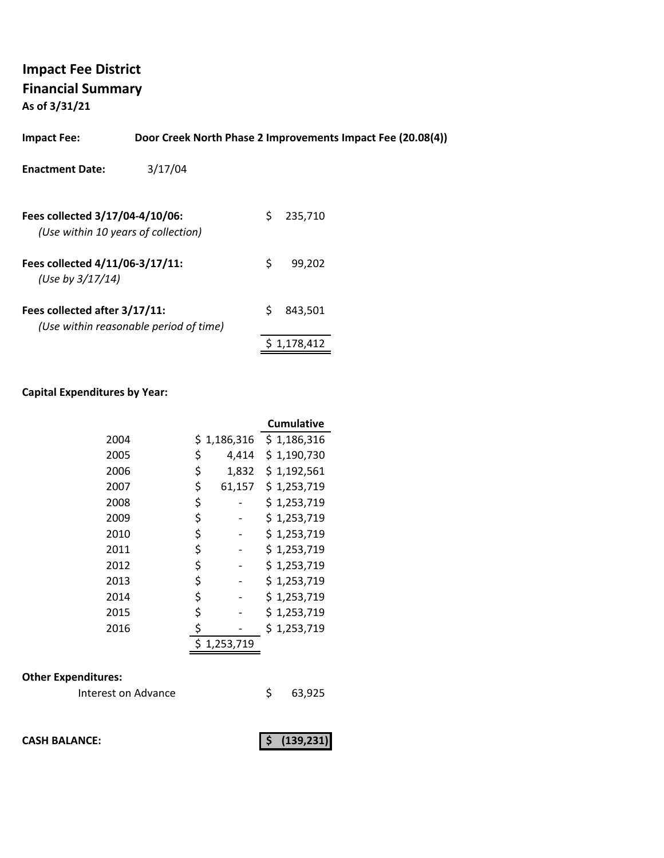**As of 3/31/21**

| <b>Impact Fee:</b>                                                     | Door Creek North Phase 2 Improvements Impact Fee (20.08(4)) |    |         |  |
|------------------------------------------------------------------------|-------------------------------------------------------------|----|---------|--|
| <b>Enactment Date:</b>                                                 | 3/17/04                                                     |    |         |  |
| Fees collected 3/17/04-4/10/06:<br>(Use within 10 years of collection) |                                                             | S. | 235,710 |  |
| Fees collected 4/11/06-3/17/11:<br>(Use by $3/17/14$ )                 |                                                             | \$ | 99.202  |  |
| Fees collected after 3/17/11:                                          | (Use within reasonable period of time)                      | Ś  | 843.501 |  |

### **Capital Expenditures by Year:**

|      |    |           | <b>Cumulative</b> |
|------|----|-----------|-------------------|
| 2004 | S. | 1,186,316 | \$1,186,316       |
| 2005 | \$ | 4,414     | \$1,190,730       |
| 2006 | \$ | 1,832     | \$1,192,561       |
| 2007 | \$ | 61,157    | \$1,253,719       |
| 2008 | \$ |           | \$1,253,719       |
| 2009 | \$ |           | \$1,253,719       |
| 2010 | \$ |           | \$1,253,719       |
| 2011 | \$ |           | \$1,253,719       |
| 2012 | \$ |           | \$1,253,719       |
| 2013 | \$ |           | \$1,253,719       |
| 2014 | \$ |           | \$1,253,719       |
| 2015 | \$ |           | \$1,253,719       |
| 2016 | \$ |           | \$1,253,719       |
|      |    | 1,253,719 |                   |

### **Other Expenditures:**

| Interest on Advance |  | 63,925 |
|---------------------|--|--------|
|---------------------|--|--------|

**CASH BALANCE: (139,231) \$** 

 $$ 1,178,412$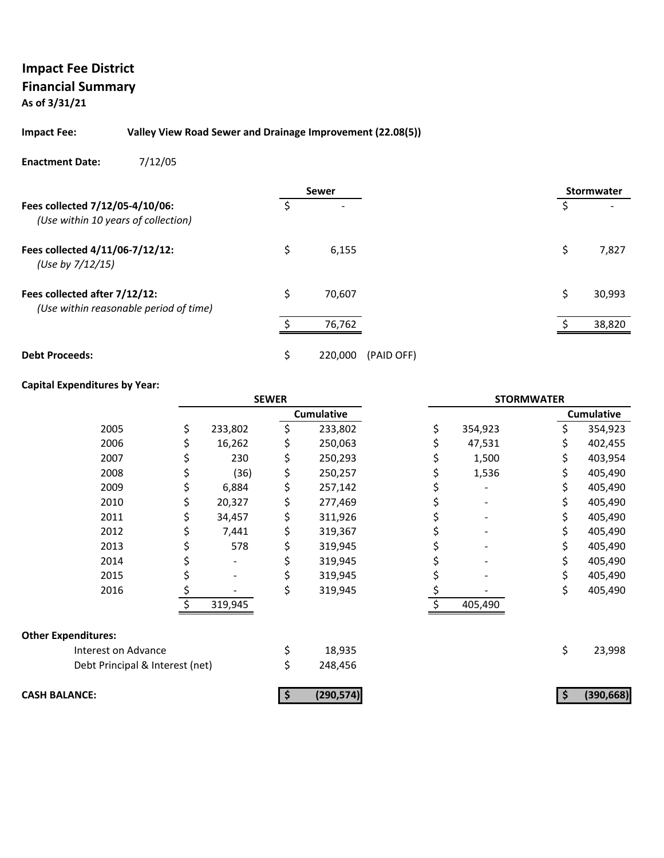### **Impact Fee District Financial Summary As of 3/31/21**

#### **Impact Fee: Valley View Road Sewer and Drainage Improvement (22.08(5))**

#### **Enactment Date:** 7/12/05

|                                                                         | <b>Sewer</b>  |            |    | <b>Stormwater</b> |
|-------------------------------------------------------------------------|---------------|------------|----|-------------------|
| Fees collected 7/12/05-4/10/06:<br>(Use within 10 years of collection)  |               |            | \$ |                   |
| Fees collected 4/11/06-7/12/12:<br>(Use by 7/12/15)                     | \$<br>6,155   |            | \$ | 7,827             |
| Fees collected after 7/12/12:<br>(Use within reasonable period of time) | \$<br>70,607  |            | Ś  | 30,993            |
|                                                                         | 76,762        |            |    | 38,820            |
| <b>Debt Proceeds:</b>                                                   | \$<br>220,000 | (PAID OFF) |    |                   |

|                                 | <b>SEWER</b>  |    | <b>STORMWATER</b> |               |    |                   |
|---------------------------------|---------------|----|-------------------|---------------|----|-------------------|
|                                 |               |    | <b>Cumulative</b> |               |    | <b>Cumulative</b> |
| 2005                            | \$<br>233,802 | \$ | 233,802           | \$<br>354,923 | \$ | 354,923           |
| 2006                            | 16,262        |    | 250,063           | 47,531        |    | 402,455           |
| 2007                            | 230           | \$ | 250,293           | 1,500         | \$ | 403,954           |
| 2008                            | (36)          | \$ | 250,257           | 1,536         | \$ | 405,490           |
| 2009                            | 6,884         | \$ | 257,142           |               | \$ | 405,490           |
| 2010                            | 20,327        | \$ | 277,469           |               |    | 405,490           |
| 2011                            | 34,457        | \$ | 311,926           |               |    | 405,490           |
| 2012                            | 7,441         | \$ | 319,367           |               |    | 405,490           |
| 2013                            | 578           | \$ | 319,945           |               | \$ | 405,490           |
| 2014                            |               |    | 319,945           |               |    | 405,490           |
| 2015                            |               | \$ | 319,945           |               | \$ | 405,490           |
| 2016                            | \$            | \$ | 319,945           |               | \$ | 405,490           |
|                                 | 319,945       |    |                   | 405,490       |    |                   |
| <b>Other Expenditures:</b>      |               |    |                   |               |    |                   |
| Interest on Advance             |               | \$ | 18,935            |               | \$ | 23,998            |
| Debt Principal & Interest (net) |               | \$ | 248,456           |               |    |                   |
| <b>CASH BALANCE:</b>            |               |    | (290, 574)        |               |    | (390, 668)        |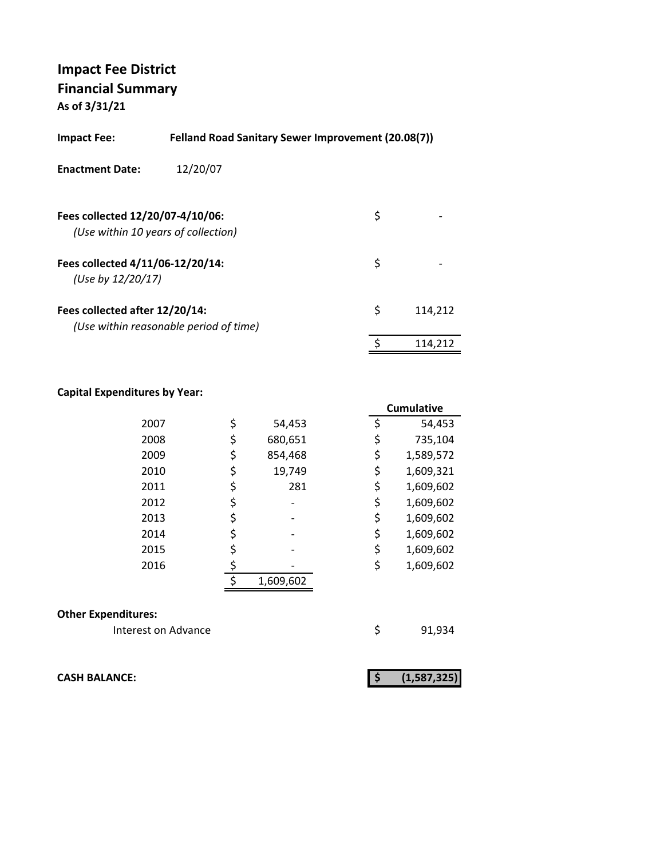**As of 3/31/21**

| Felland Road Sanitary Sewer Improvement (20.08(7))<br>Impact Fee: |                                        |    |         |  |
|-------------------------------------------------------------------|----------------------------------------|----|---------|--|
| <b>Enactment Date:</b>                                            | 12/20/07                               |    |         |  |
| Fees collected 12/20/07-4/10/06:                                  | (Use within 10 years of collection)    | \$ |         |  |
| Fees collected 4/11/06-12/20/14:<br>(Use by 12/20/17)             |                                        | \$ |         |  |
| Fees collected after 12/20/14:                                    | (Use within reasonable period of time) | \$ | 114,212 |  |
|                                                                   |                                        | \$ | 114.212 |  |

### **Capital Expenditures by Year:**

|      |               |    | Cumulative |
|------|---------------|----|------------|
| 2007 | \$<br>54,453  | \$ | 54,453     |
| 2008 | \$<br>680,651 | \$ | 735,104    |
| 2009 | \$<br>854,468 | \$ | 1,589,572  |
| 2010 | \$<br>19,749  | \$ | 1,609,321  |
| 2011 | \$<br>281     | \$ | 1,609,602  |
| 2012 | \$            | \$ | 1,609,602  |
| 2013 | \$            | \$ | 1,609,602  |
| 2014 | \$            | \$ | 1,609,602  |
| 2015 | \$            | \$ | 1,609,602  |
| 2016 |               | \$ | 1,609,602  |
|      | 1,609,602     |    |            |
|      |               |    |            |

#### **Other Expenditures:**

Interest on Advance **1998** \$91,934

**CASH BALANCE: (1,587,325) \$**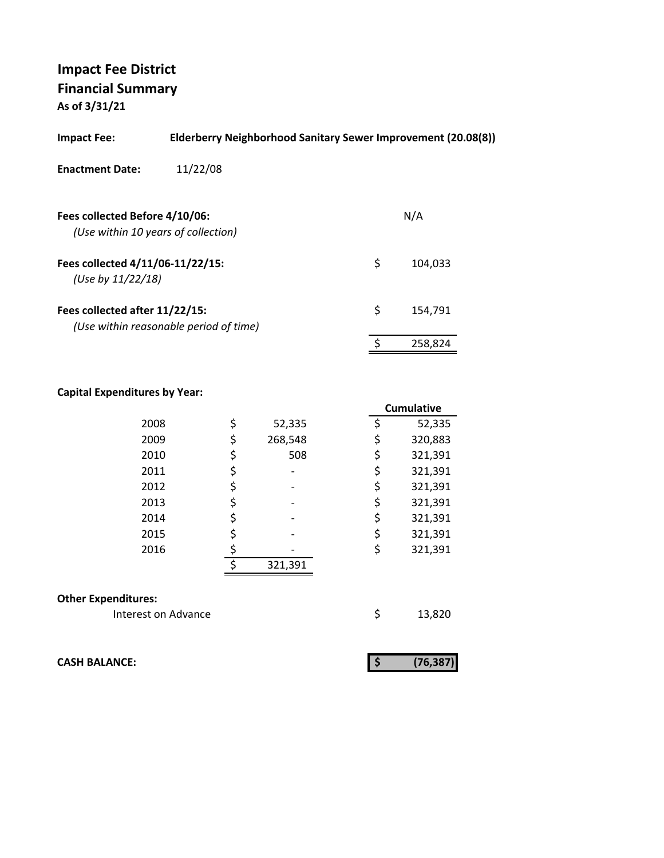**As of 3/31/21**

| <b>Impact Fee:</b>                                    | Elderberry Neighborhood Sanitary Sewer Improvement (20.08(8)) |               |
|-------------------------------------------------------|---------------------------------------------------------------|---------------|
| <b>Enactment Date:</b>                                | 11/22/08                                                      |               |
| Fees collected Before 4/10/06:                        | (Use within 10 years of collection)                           | N/A           |
| Fees collected 4/11/06-11/22/15:<br>(Use by 11/22/18) |                                                               | \$<br>104.033 |
| Fees collected after 11/22/15:                        | (Use within reasonable period of time)                        | \$<br>154,791 |
|                                                       |                                                               | 258,824       |
|                                                       |                                                               |               |

### **Capital Expenditures by Year:**

|                            |         |         | <b>Cumulative</b> |
|----------------------------|---------|---------|-------------------|
| 2008                       | \$      | 52,335  | \$<br>52,335      |
| 2009                       | \$      | 268,548 | \$<br>320,883     |
| 2010                       | \$      | 508     | \$<br>321,391     |
| 2011                       | \$      |         | \$<br>321,391     |
| 2012                       | \$      |         | \$<br>321,391     |
| 2013                       | \$      |         | \$<br>321,391     |
| 2014                       | \$      |         | \$<br>321,391     |
| 2015                       | \$      |         | \$<br>321,391     |
| 2016                       |         |         | \$<br>321,391     |
|                            | $\zeta$ | 321,391 |                   |
| <b>Other Expenditures:</b> |         |         |                   |
| Interest on Advance        |         |         | \$<br>13,820      |

**CASH BALANCE: (76,387) \$** 

|--|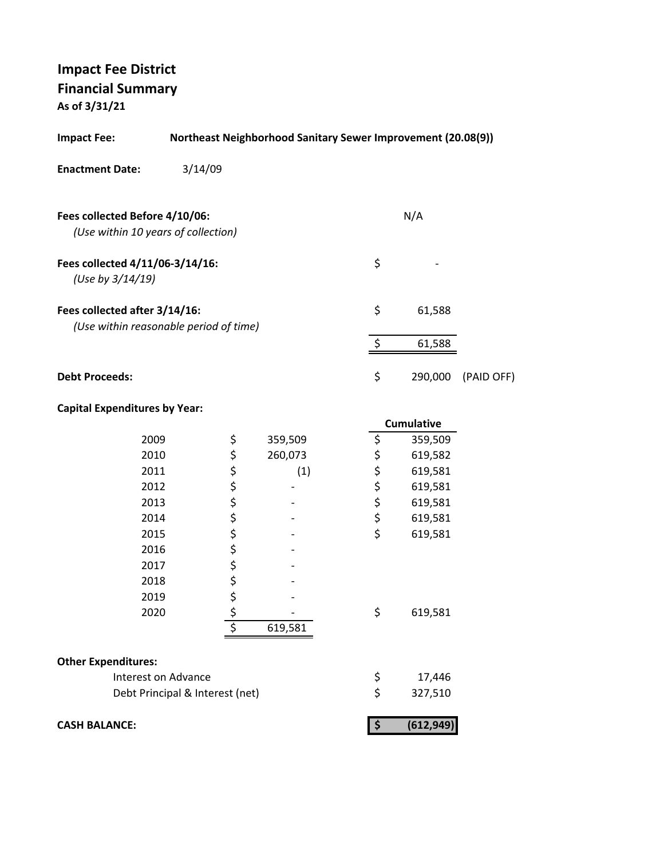**As of 3/31/21**

| <b>Impact Fee:</b>                                                      |                                 | <b>Northeast Neighborhood Sanitary Sewer Improvement (20.08(9))</b> |                           |                    |            |
|-------------------------------------------------------------------------|---------------------------------|---------------------------------------------------------------------|---------------------------|--------------------|------------|
| <b>Enactment Date:</b>                                                  | 3/14/09                         |                                                                     |                           |                    |            |
| Fees collected Before 4/10/06:<br>(Use within 10 years of collection)   |                                 |                                                                     |                           | N/A                |            |
| Fees collected 4/11/06-3/14/16:<br>(Use by 3/14/19)                     |                                 |                                                                     | \$                        |                    |            |
| Fees collected after 3/14/16:<br>(Use within reasonable period of time) |                                 |                                                                     | \$                        | 61,588             |            |
|                                                                         |                                 |                                                                     | \$                        | 61,588             |            |
| <b>Debt Proceeds:</b>                                                   |                                 |                                                                     | \$                        | 290,000            | (PAID OFF) |
| <b>Capital Expenditures by Year:</b>                                    |                                 |                                                                     |                           |                    |            |
| 2009                                                                    |                                 |                                                                     |                           | Cumulative         |            |
| 2010                                                                    | \$                              | 359,509<br>260,073                                                  | \$                        | 359,509<br>619,582 |            |
| 2011                                                                    | ぐぐぐぐら                           | (1)                                                                 | ちゃちょ                      | 619,581            |            |
| 2012                                                                    |                                 |                                                                     |                           | 619,581            |            |
| 2013                                                                    |                                 |                                                                     |                           | 619,581            |            |
| 2014                                                                    |                                 |                                                                     |                           | 619,581            |            |
| 2015                                                                    |                                 |                                                                     | \$                        | 619,581            |            |
| 2016                                                                    |                                 |                                                                     |                           |                    |            |
| 2017                                                                    |                                 |                                                                     |                           |                    |            |
| 2018                                                                    |                                 |                                                                     |                           |                    |            |
| 2019                                                                    | \$                              |                                                                     |                           |                    |            |
| 2020                                                                    |                                 |                                                                     | \$,                       | 619,581            |            |
|                                                                         |                                 | 619,581                                                             |                           |                    |            |
| <b>Other Expenditures:</b>                                              |                                 |                                                                     |                           |                    |            |
| Interest on Advance                                                     |                                 |                                                                     | \$                        | 17,446             |            |
|                                                                         | Debt Principal & Interest (net) |                                                                     | \$                        | 327,510            |            |
| <b>CASH BALANCE:</b>                                                    |                                 |                                                                     | $\boldsymbol{\mathsf{S}}$ | (612, 949)         |            |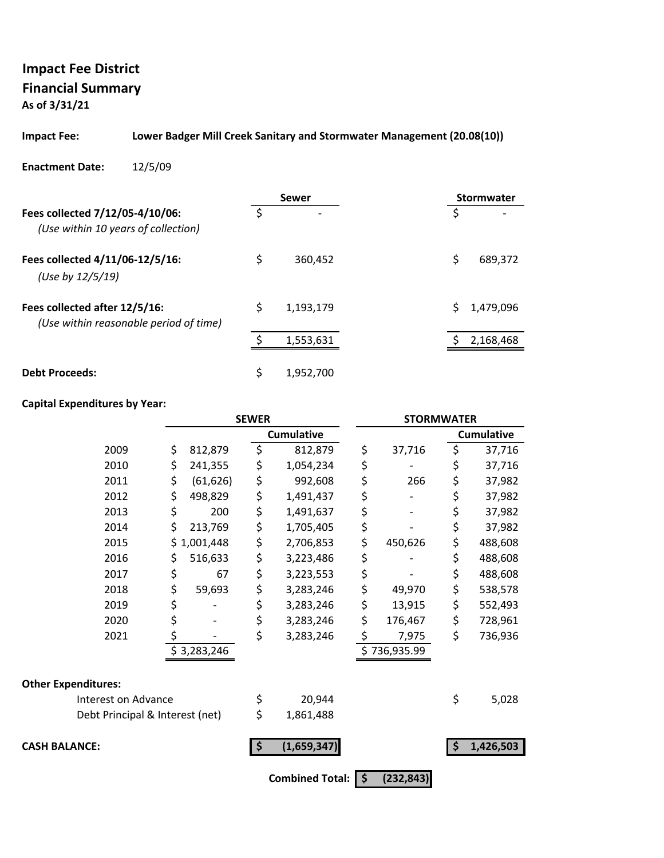**As of 3/31/21**

#### **Impact Fee: Lower Badger Mill Creek Sanitary and Stormwater Management (20.08(10))**

#### **Enactment Date:** 12/5/09

|                                                                         |    | Sewer                    | <b>Stormwater</b> |
|-------------------------------------------------------------------------|----|--------------------------|-------------------|
| Fees collected 7/12/05-4/10/06:<br>(Use within 10 years of collection)  | Š. | $\overline{\phantom{a}}$ | S                 |
| Fees collected 4/11/06-12/5/16:<br>(Use by 12/5/19)                     | \$ | 360,452                  | Ś<br>689,372      |
| Fees collected after 12/5/16:<br>(Use within reasonable period of time) | \$ | 1,193,179                | 1,479,096         |
|                                                                         |    | 1,553,631                | 2,168,468         |
| <b>Debt Proceeds:</b>                                                   | \$ | 1,952,700                |                   |

|                                 |                 | <b>SEWER</b> |                   | <b>STORMWATER</b> |    |                   |
|---------------------------------|-----------------|--------------|-------------------|-------------------|----|-------------------|
|                                 |                 |              | <b>Cumulative</b> |                   |    | <b>Cumulative</b> |
| 2009                            | \$<br>812,879   | \$           | 812,879           | \$<br>37,716      | \$ | 37,716            |
| 2010                            | \$<br>241,355   | \$           | 1,054,234         | \$                | \$ | 37,716            |
| 2011                            | \$<br>(61, 626) | \$           | 992,608           | \$<br>266         | \$ | 37,982            |
| 2012                            | \$<br>498,829   | \$           | 1,491,437         | \$                | \$ | 37,982            |
| 2013                            | \$<br>200       | \$           | 1,491,637         | \$                | \$ | 37,982            |
| 2014                            | \$<br>213,769   | \$           | 1,705,405         | \$                | \$ | 37,982            |
| 2015                            | \$1,001,448     | \$           | 2,706,853         | \$<br>450,626     | \$ | 488,608           |
| 2016                            | \$<br>516,633   | \$           | 3,223,486         | \$                | \$ | 488,608           |
| 2017                            | \$<br>67        | \$           | 3,223,553         | \$                | \$ | 488,608           |
| 2018                            | \$<br>59,693    | \$           | 3,283,246         | \$<br>49,970      | \$ | 538,578           |
| 2019                            | \$              | \$           | 3,283,246         | \$<br>13,915      | \$ | 552,493           |
| 2020                            | \$              | \$           | 3,283,246         | \$<br>176,467     | \$ | 728,961           |
| 2021                            | \$              | \$           | 3,283,246         | \$<br>7,975       | \$ | 736,936           |
|                                 | \$3,283,246     |              |                   | \$736,935.99      |    |                   |
| <b>Other Expenditures:</b>      |                 |              |                   |                   |    |                   |
| Interest on Advance             |                 | \$           | 20,944            |                   | \$ | 5,028             |
| Debt Principal & Interest (net) |                 | \$           | 1,861,488         |                   |    |                   |
| <b>CASH BALANCE:</b>            |                 | \$           | (1,659,347)       |                   | Ŝ  | 1,426,503         |
|                                 |                 |              | Combined Total: S | (232, 843)        |    |                   |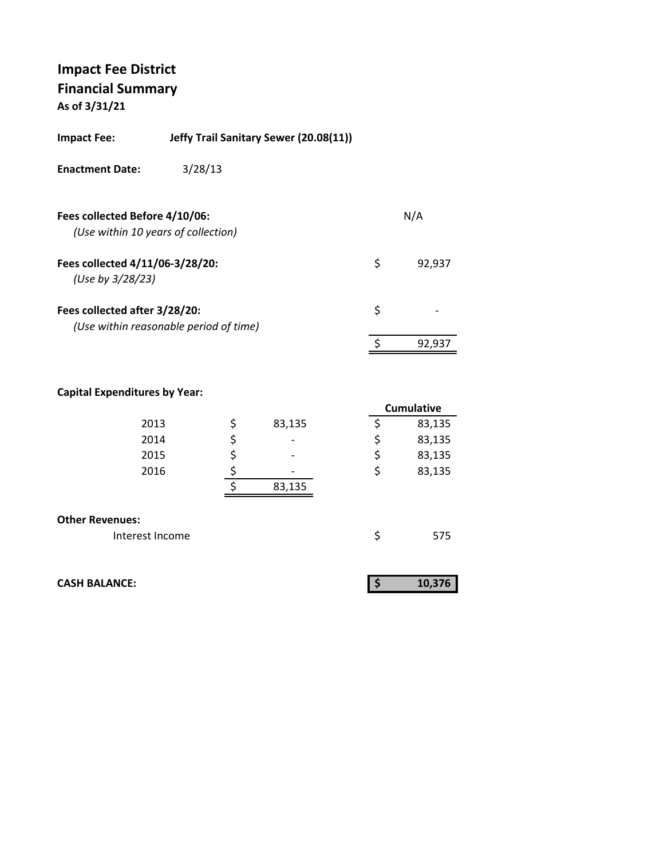**As of 3/31/21**

| <b>Impact Fee:</b>                                  | Jeffy Trail Sanitary Sewer (20.08(11)) |    |        |
|-----------------------------------------------------|----------------------------------------|----|--------|
| <b>Enactment Date:</b>                              | 3/28/13                                |    |        |
| Fees collected Before 4/10/06:                      | (Use within 10 years of collection)    |    | N/A    |
| Fees collected 4/11/06-3/28/20:<br>(Use by 3/28/23) |                                        | \$ | 92.937 |
| Fees collected after 3/28/20:                       | (Use within reasonable period of time) | \$ |        |
|                                                     |                                        | ¢  | 92,937 |
|                                                     |                                        |    |        |

|                        |              | <b>Cumulative</b> |
|------------------------|--------------|-------------------|
| 2013                   | \$<br>83,135 | \$<br>83,135      |
| 2014                   | \$           | \$<br>83,135      |
| 2015                   | \$           | \$<br>83,135      |
| 2016                   |              | \$<br>83,135      |
|                        | 83,135       |                   |
|                        |              |                   |
| <b>Other Revenues:</b> |              |                   |
| Interest Income        |              | \$<br>575         |

| <b>CASH BALANCE:</b> |  | 10.376 |
|----------------------|--|--------|
|----------------------|--|--------|

|--|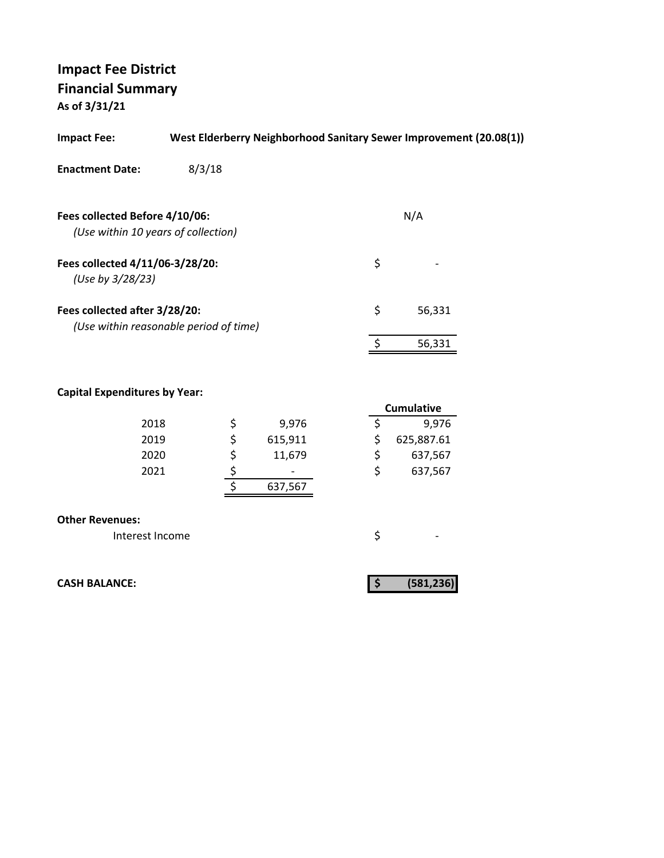**As of 3/31/21**

| <b>Impact Fee:</b>                                                      |        |                                                         |         |                          | West Elderberry Neighborhood Sanitary Sewer Improvement (20.08(1)) |  |
|-------------------------------------------------------------------------|--------|---------------------------------------------------------|---------|--------------------------|--------------------------------------------------------------------|--|
| <b>Enactment Date:</b>                                                  | 8/3/18 |                                                         |         |                          |                                                                    |  |
|                                                                         |        |                                                         |         |                          |                                                                    |  |
| Fees collected Before 4/10/06:<br>(Use within 10 years of collection)   |        |                                                         |         |                          | N/A                                                                |  |
| Fees collected 4/11/06-3/28/20:<br>(Use by 3/28/23)                     |        |                                                         |         | \$                       |                                                                    |  |
| Fees collected after 3/28/20:<br>(Use within reasonable period of time) |        |                                                         |         | \$                       | 56,331                                                             |  |
|                                                                         |        |                                                         |         | $\frac{1}{2}$            | 56,331                                                             |  |
| <b>Capital Expenditures by Year:</b>                                    |        |                                                         |         |                          | <b>Cumulative</b>                                                  |  |
| 2018                                                                    |        |                                                         | 9,976   | \$                       | 9,976                                                              |  |
| 2019                                                                    |        |                                                         | 615,911 | \$                       | 625,887.61                                                         |  |
| 2020                                                                    |        |                                                         | 11,679  | \$                       | 637,567                                                            |  |
| 2021                                                                    |        |                                                         |         | \$                       | 637,567                                                            |  |
|                                                                         |        | $\begin{array}{c}\n 5 \\ 5 \\ \hline\n 5\n \end{array}$ | 637,567 |                          |                                                                    |  |
| <b>Other Revenues:</b>                                                  |        |                                                         |         |                          |                                                                    |  |
| Interest Income                                                         |        |                                                         |         | \$                       |                                                                    |  |
| <b>CASH BALANCE:</b>                                                    |        |                                                         |         | $\vert \mathsf{S} \vert$ | (581, 236)                                                         |  |